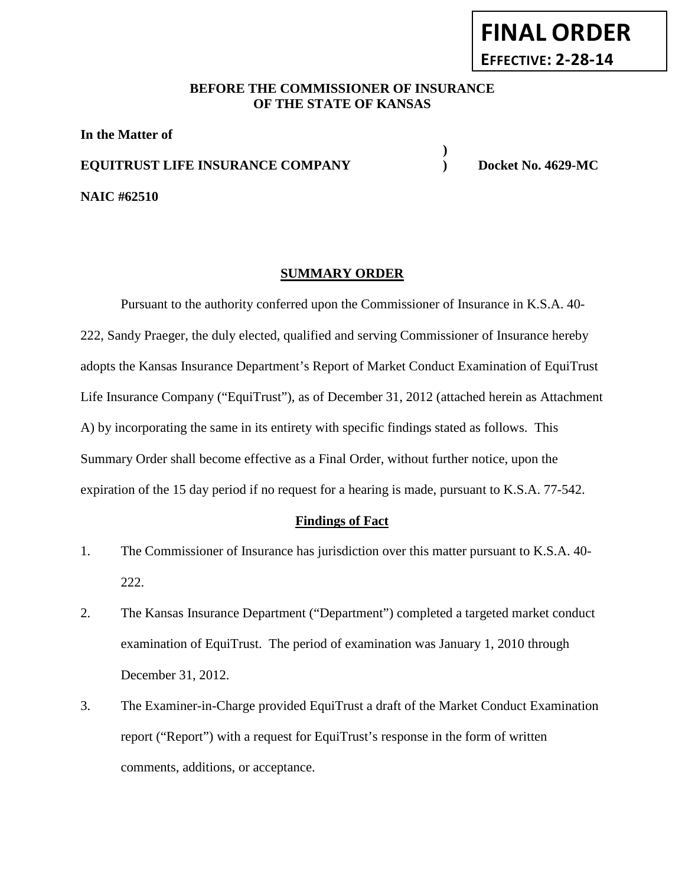# **FINAL ORDER EFFECTIVE: 2-28-14**

#### **BEFORE THE COMMISSIONER OF INSURANCE OF THE STATE OF KANSAS**

**In the Matter of EQUITRUST LIFE INSURANCE COMPANY ) Docket No. 4629-MC**

**NAIC #62510**

**)**

## **SUMMARY ORDER**

Pursuant to the authority conferred upon the Commissioner of Insurance in K.S.A. 40- 222, Sandy Praeger, the duly elected, qualified and serving Commissioner of Insurance hereby adopts the Kansas Insurance Department's Report of Market Conduct Examination of EquiTrust Life Insurance Company ("EquiTrust"), as of December 31, 2012 (attached herein as Attachment A) by incorporating the same in its entirety with specific findings stated as follows. This Summary Order shall become effective as a Final Order, without further notice, upon the expiration of the 15 day period if no request for a hearing is made, pursuant to K.S.A. 77-542.

#### **Findings of Fact**

- 1. The Commissioner of Insurance has jurisdiction over this matter pursuant to K.S.A. 40- 222.
- 2. The Kansas Insurance Department ("Department") completed a targeted market conduct examination of EquiTrust. The period of examination was January 1, 2010 through December 31, 2012.
- 3. The Examiner-in-Charge provided EquiTrust a draft of the Market Conduct Examination report ("Report") with a request for EquiTrust's response in the form of written comments, additions, or acceptance.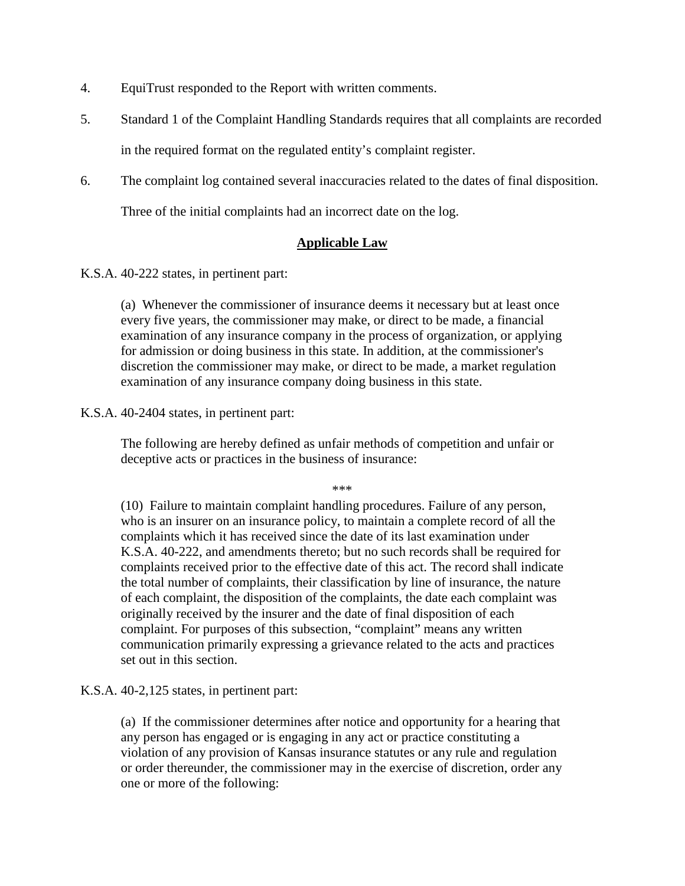- 4. EquiTrust responded to the Report with written comments.
- 5. Standard 1 of the Complaint Handling Standards requires that all complaints are recorded in the required format on the regulated entity's complaint register.
- 6. The complaint log contained several inaccuracies related to the dates of final disposition.

Three of the initial complaints had an incorrect date on the log.

#### **Applicable Law**

K.S.A. 40-222 states, in pertinent part:

(a) Whenever the commissioner of insurance deems it necessary but at least once every five years, the commissioner may make, or direct to be made, a financial examination of any insurance company in the process of organization, or applying for admission or doing business in this state. In addition, at the commissioner's discretion the commissioner may make, or direct to be made, a market regulation examination of any insurance company doing business in this state.

#### K.S.A. 40-2404 states, in pertinent part:

The following are hereby defined as unfair methods of competition and unfair or deceptive acts or practices in the business of insurance:

\*\*\*

(10) Failure to maintain complaint handling procedures. Failure of any person, who is an insurer on an insurance policy, to maintain a complete record of all the complaints which it has received since the date of its last examination under K.S.A. 40-222, and amendments thereto; but no such records shall be required for complaints received prior to the effective date of this act. The record shall indicate the total number of complaints, their classification by line of insurance, the nature of each complaint, the disposition of the complaints, the date each complaint was originally received by the insurer and the date of final disposition of each complaint. For purposes of this subsection, "complaint" means any written communication primarily expressing a grievance related to the acts and practices set out in this section.

K.S.A. 40-2,125 states, in pertinent part:

(a) If the commissioner determines after notice and opportunity for a hearing that any person has engaged or is engaging in any act or practice constituting a violation of any provision of Kansas insurance statutes or any rule and regulation or order thereunder, the commissioner may in the exercise of discretion, order any one or more of the following: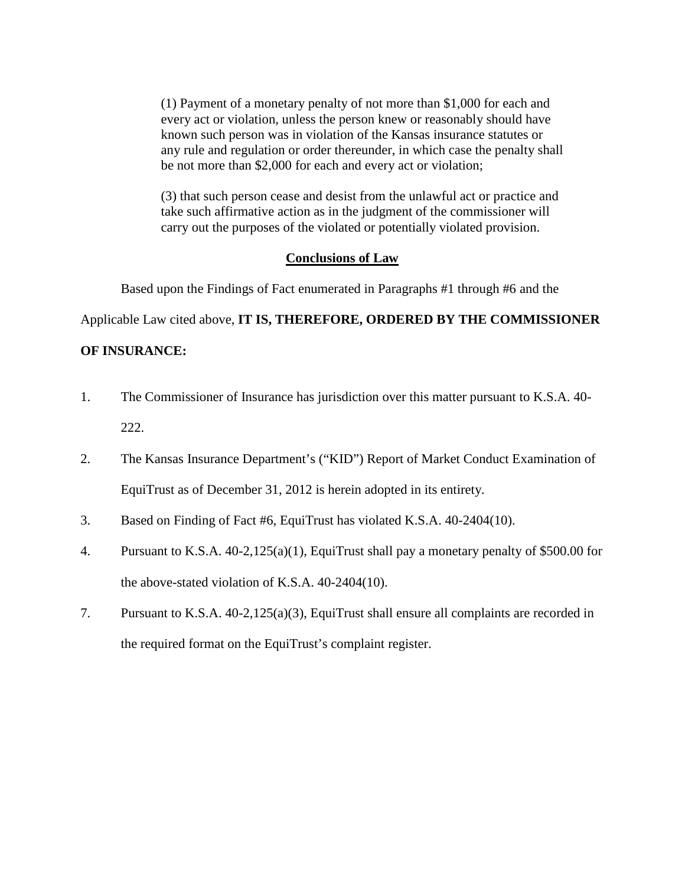(1) Payment of a monetary penalty of not more than \$1,000 for each and every act or violation, unless the person knew or reasonably should have known such person was in violation of the Kansas insurance statutes or any rule and regulation or order thereunder, in which case the penalty shall be not more than \$2,000 for each and every act or violation;

(3) that such person cease and desist from the unlawful act or practice and take such affirmative action as in the judgment of the commissioner will carry out the purposes of the violated or potentially violated provision.

#### **Conclusions of Law**

Based upon the Findings of Fact enumerated in Paragraphs #1 through #6 and the

Applicable Law cited above, **IT IS, THEREFORE, ORDERED BY THE COMMISSIONER** 

#### **OF INSURANCE:**

- 1. The Commissioner of Insurance has jurisdiction over this matter pursuant to K.S.A. 40- 222.
- 2. The Kansas Insurance Department's ("KID") Report of Market Conduct Examination of EquiTrust as of December 31, 2012 is herein adopted in its entirety.
- 3. Based on Finding of Fact #6, EquiTrust has violated K.S.A. 40-2404(10).
- 4. Pursuant to K.S.A. 40-2,125(a)(1), EquiTrust shall pay a monetary penalty of \$500.00 for the above-stated violation of K.S.A. 40-2404(10).
- 7. Pursuant to K.S.A. 40-2,125(a)(3), EquiTrust shall ensure all complaints are recorded in the required format on the EquiTrust's complaint register.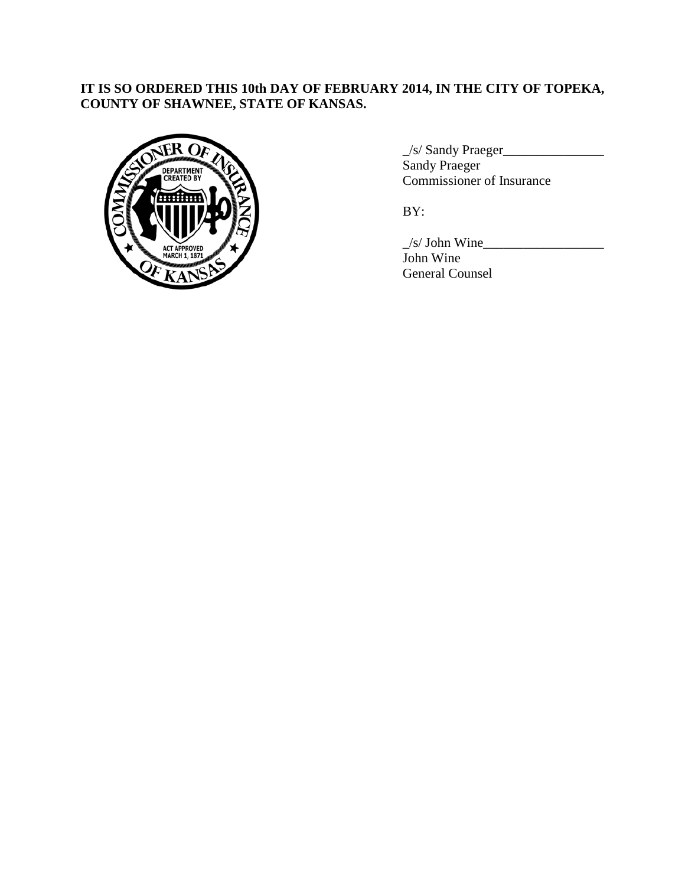## **IT IS SO ORDERED THIS 10th DAY OF FEBRUARY 2014, IN THE CITY OF TOPEKA, COUNTY OF SHAWNEE, STATE OF KANSAS.**



\_/s/ Sandy Praeger\_\_\_\_\_\_\_\_\_\_\_\_\_\_\_ Sandy Praeger Commissioner of Insurance

BY:

 $\angle$ s/ John Wine $\angle$ John Wine General Counsel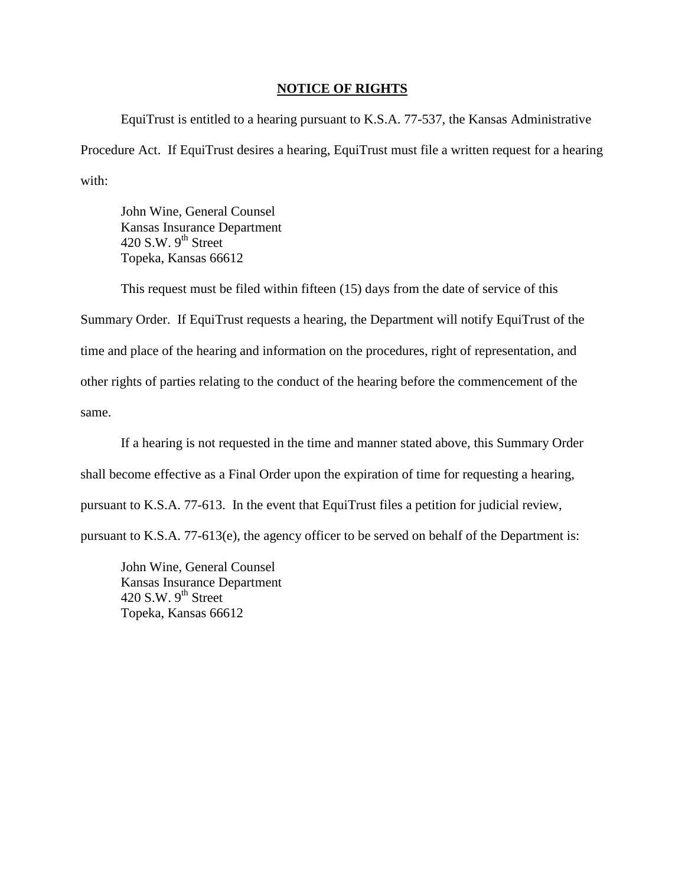#### **NOTICE OF RIGHTS**

EquiTrust is entitled to a hearing pursuant to K.S.A. 77-537, the Kansas Administrative Procedure Act. If EquiTrust desires a hearing, EquiTrust must file a written request for a hearing with:

John Wine, General Counsel Kansas Insurance Department 420 S.W.  $9^{th}$  Street Topeka, Kansas 66612

This request must be filed within fifteen (15) days from the date of service of this Summary Order. If EquiTrust requests a hearing, the Department will notify EquiTrust of the time and place of the hearing and information on the procedures, right of representation, and other rights of parties relating to the conduct of the hearing before the commencement of the same.

If a hearing is not requested in the time and manner stated above, this Summary Order shall become effective as a Final Order upon the expiration of time for requesting a hearing, pursuant to K.S.A. 77-613. In the event that EquiTrust files a petition for judicial review, pursuant to K.S.A. 77-613(e), the agency officer to be served on behalf of the Department is:

John Wine, General Counsel Kansas Insurance Department 420 S.W.  $9^{th}$  Street Topeka, Kansas 66612